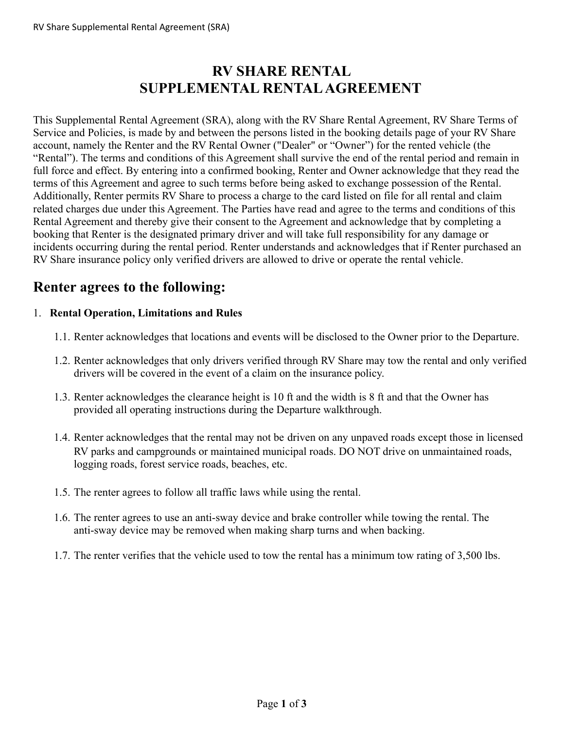## **RV SHARE RENTAL SUPPLEMENTAL RENTALAGREEMENT**

This Supplemental Rental Agreement (SRA), along with the RV Share Rental Agreement, RV Share Terms of Service and Policies, is made by and between the persons listed in the booking details page of your RV Share account, namely the Renter and the RV Rental Owner ("Dealer" or "Owner") for the rented vehicle (the "Rental"). The terms and conditions of this Agreement shall survive the end of the rental period and remain in full force and effect. By entering into a confirmed booking, Renter and Owner acknowledge that they read the terms of this Agreement and agree to such terms before being asked to exchange possession of the Rental. Additionally, Renter permits RV Share to process a charge to the card listed on file for all rental and claim related charges due under this Agreement. The Parties have read and agree to the terms and conditions of this Rental Agreement and thereby give their consent to the Agreement and acknowledge that by completing a booking that Renter is the designated primary driver and will take full responsibility for any damage or incidents occurring during the rental period. Renter understands and acknowledges that if Renter purchased an RV Share insurance policy only verified drivers are allowed to drive or operate the rental vehicle.

## **Renter agrees to the following:**

## 1. **Rental Operation, Limitations and Rules**

- 1.1. Renter acknowledges that locations and events will be disclosed to the Owner prior to the Departure.
- 1.2. Renter acknowledges that only drivers verified through RV Share may tow the rental and only verified drivers will be covered in the event of a claim on the insurance policy.
- 1.3. Renter acknowledges the clearance height is 10 ft and the width is 8 ft and that the Owner has provided all operating instructions during the Departure walkthrough.
- 1.4. Renter acknowledges that the rental may not be driven on any unpaved roads except those in licensed RV parks and campgrounds or maintained municipal roads. DO NOT drive on unmaintained roads, logging roads, forest service roads, beaches, etc.
- 1.5. The renter agrees to follow all traffic laws while using the rental.
- 1.6. The renter agrees to use an anti-sway device and brake controller while towing the rental. The anti-sway device may be removed when making sharp turns and when backing.
- 1.7. The renter verifies that the vehicle used to tow the rental has a minimum tow rating of 3,500 lbs.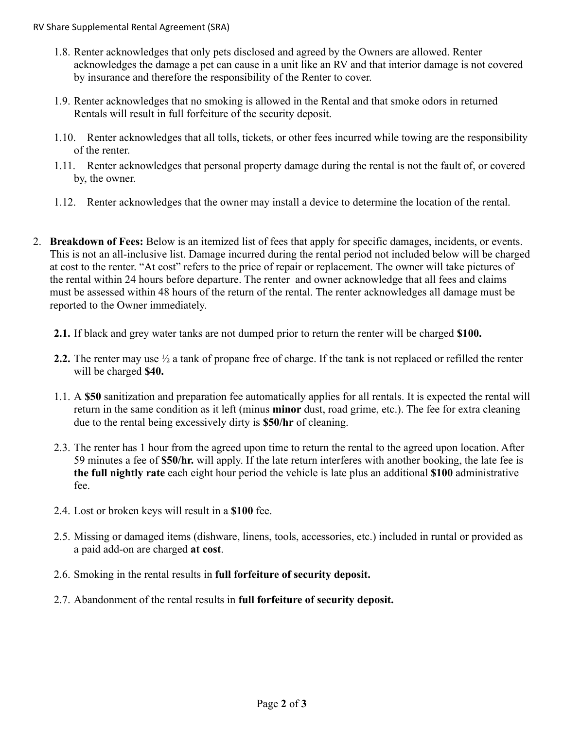- 1.8. Renter acknowledges that only pets disclosed and agreed by the Owners are allowed. Renter acknowledges the damage a pet can cause in a unit like an RV and that interior damage is not covered by insurance and therefore the responsibility of the Renter to cover.
- 1.9. Renter acknowledges that no smoking is allowed in the Rental and that smoke odors in returned Rentals will result in full forfeiture of the security deposit.
- 1.10. Renter acknowledges that all tolls, tickets, or other fees incurred while towing are the responsibility of the renter.
- 1.11. Renter acknowledges that personal property damage during the rental is not the fault of, or covered by, the owner.
- 1.12. Renter acknowledges that the owner may install a device to determine the location of the rental.
- 2. **Breakdown of Fees:** Below is an itemized list of fees that apply for specific damages, incidents, or events. This is not an all-inclusive list. Damage incurred during the rental period not included below will be charged at cost to the renter. "At cost" refers to the price of repair or replacement. The owner will take pictures of the rental within 24 hours before departure. The renter and owner acknowledge that all fees and claims must be assessed within 48 hours of the return of the rental. The renter acknowledges all damage must be reported to the Owner immediately.
	- **2.1.** If black and grey water tanks are not dumped prior to return the renter will be charged **\$100.**
	- **2.2.** The renter may use ½ a tank of propane free of charge. If the tank is not replaced or refilled the renter will be charged **\$40.**
	- 1.1. A **\$50** sanitization and preparation fee automatically applies for all rentals. It is expected the rental will return in the same condition as it left (minus **minor** dust, road grime, etc.). The fee for extra cleaning due to the rental being excessively dirty is **\$50/hr** of cleaning.
	- 2.3. The renter has 1 hour from the agreed upon time to return the rental to the agreed upon location. After 59 minutes a fee of **\$50/hr.** will apply. If the late return interferes with another booking, the late fee is **the full nightly rate** each eight hour period the vehicle is late plus an additional **\$100** administrative fee.
	- 2.4. Lost or broken keys will result in a **\$100** fee.
	- 2.5. Missing or damaged items (dishware, linens, tools, accessories, etc.) included in runtal or provided as a paid add-on are charged **at cost**.
	- 2.6. Smoking in the rental results in **full forfeiture of security deposit.**
	- 2.7. Abandonment of the rental results in **full forfeiture of security deposit.**